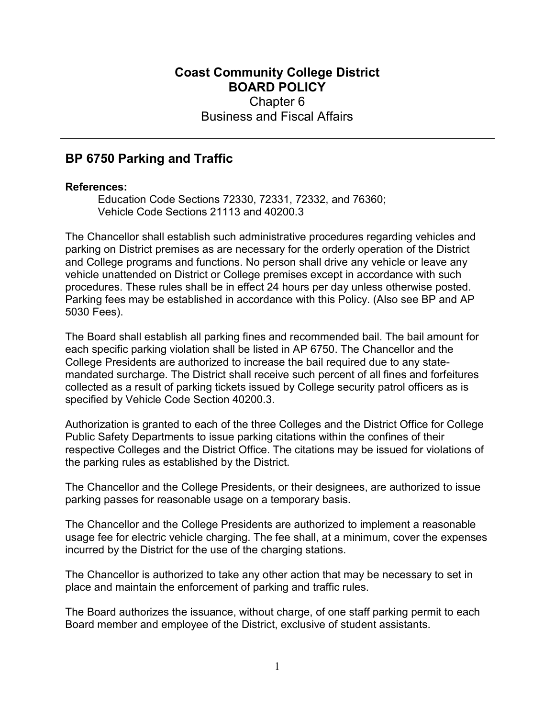## Coast Community College District BOARD POLICY Chapter 6 Business and Fiscal Affairs

## BP 6750 Parking and Traffic

## References:

Education Code Sections 72330, 72331, 72332, and 76360; Vehicle Code Sections 21113 and 40200.3

The Chancellor shall establish such administrative procedures regarding vehicles and parking on District premises as are necessary for the orderly operation of the District and College programs and functions. No person shall drive any vehicle or leave any vehicle unattended on District or College premises except in accordance with such procedures. These rules shall be in effect 24 hours per day unless otherwise posted. Parking fees may be established in accordance with this Policy. (Also see BP and AP 5030 Fees).

The Board shall establish all parking fines and recommended bail. The bail amount for each specific parking violation shall be listed in AP 6750. The Chancellor and the College Presidents are authorized to increase the bail required due to any statemandated surcharge. The District shall receive such percent of all fines and forfeitures collected as a result of parking tickets issued by College security patrol officers as is specified by Vehicle Code Section 40200.3.

Authorization is granted to each of the three Colleges and the District Office for College Public Safety Departments to issue parking citations within the confines of their respective Colleges and the District Office. The citations may be issued for violations of the parking rules as established by the District.

The Chancellor and the College Presidents, or their designees, are authorized to issue parking passes for reasonable usage on a temporary basis.

The Chancellor and the College Presidents are authorized to implement a reasonable usage fee for electric vehicle charging. The fee shall, at a minimum, cover the expenses incurred by the District for the use of the charging stations.

The Chancellor is authorized to take any other action that may be necessary to set in place and maintain the enforcement of parking and traffic rules.

The Board authorizes the issuance, without charge, of one staff parking permit to each Board member and employee of the District, exclusive of student assistants.